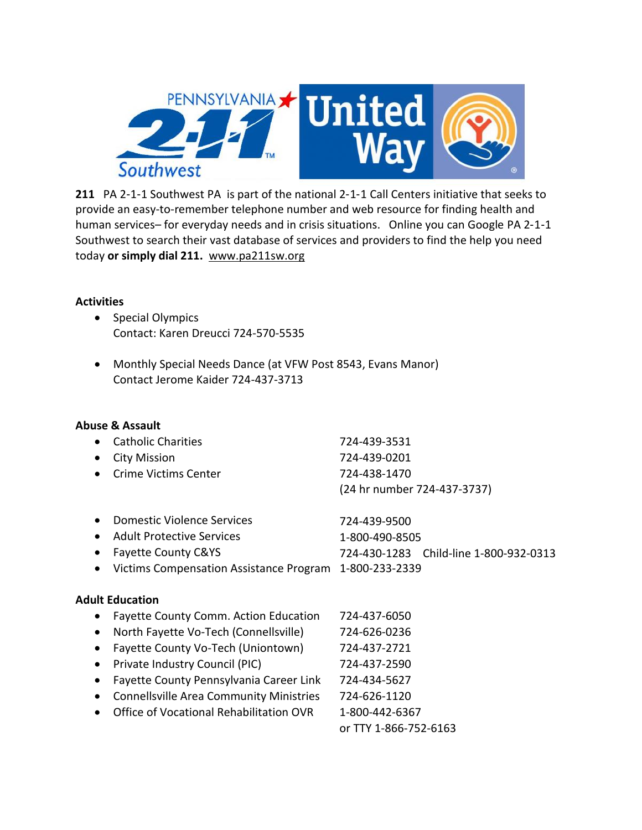

211 PA 2-1-1 Southwest PA is part of the national 2-1-1 Call Centers initiative that seeks to provide an easy-to-remember telephone number and web resource for finding health and human services– for everyday needs and in crisis situations. Online you can Google PA 2-1-1 Southwest to search their vast database of services and providers to find the help you need today **or simply dial 211.** www.pa211sw.org

## **Activities**

- Special Olympics Contact: Karen Dreucci 724-570-5535
- Monthly Special Needs Dance (at VFW Post 8543, Evans Manor) Contact Jerome Kaider 724-437-3713

## **Abuse & Assault**

| • Catholic Charities   | 724-439-3531                |
|------------------------|-----------------------------|
| • City Mission         | 724-439-0201                |
| • Crime Victims Center | 724-438-1470                |
|                        | (24 hr number 724-437-3737) |

| • Domestic Violence Services | 724-439-9500   |                                        |
|------------------------------|----------------|----------------------------------------|
| • Adult Protective Services  | 1-800-490-8505 |                                        |
| • Fayette County C&YS        |                | 724-430-1283 Child-line 1-800-932-0313 |
|                              |                |                                        |

• Victims Compensation Assistance Program 1-800-233-2339

## **Adult Education**

| $\bullet$ | <b>Fayette County Comm. Action Education</b>   | 724-437-6050          |
|-----------|------------------------------------------------|-----------------------|
| $\bullet$ | North Fayette Vo-Tech (Connellsville)          | 724-626-0236          |
| $\bullet$ | Fayette County Vo-Tech (Uniontown)             | 724-437-2721          |
| $\bullet$ | Private Industry Council (PIC)                 | 724-437-2590          |
| $\bullet$ | Fayette County Pennsylvania Career Link        | 724-434-5627          |
| $\bullet$ | <b>Connellsville Area Community Ministries</b> | 724-626-1120          |
| $\bullet$ | Office of Vocational Rehabilitation OVR        | 1-800-442-6367        |
|           |                                                | or TTY 1-866-752-6163 |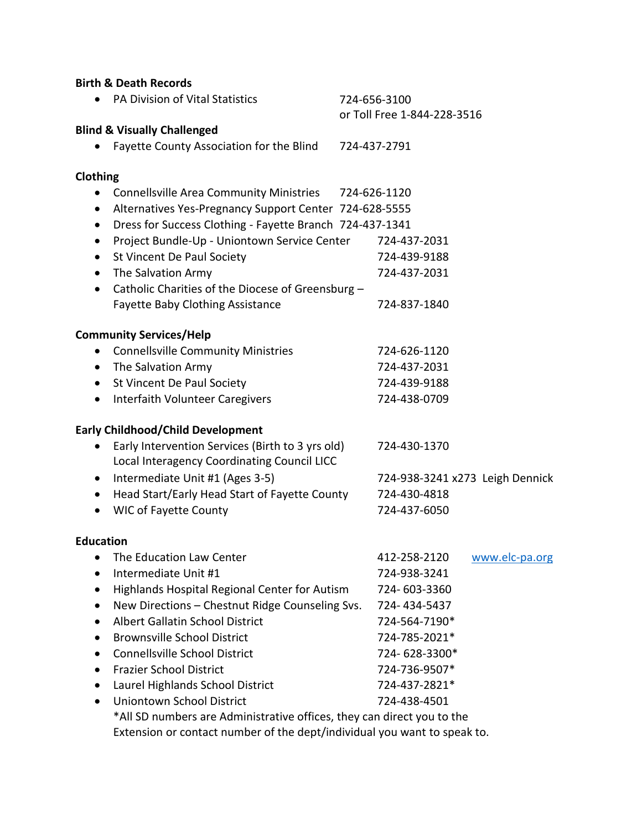| <b>Birth &amp; Death Records</b>                                         |                                                        |  |  |  |
|--------------------------------------------------------------------------|--------------------------------------------------------|--|--|--|
| <b>PA Division of Vital Statistics</b>                                   | 724-656-3100<br>or Toll Free 1-844-228-3516            |  |  |  |
| <b>Blind &amp; Visually Challenged</b>                                   |                                                        |  |  |  |
| Fayette County Association for the Blind                                 | 724-437-2791                                           |  |  |  |
| Clothing                                                                 |                                                        |  |  |  |
| <b>Connellsville Area Community Ministries</b><br>$\bullet$              | 724-626-1120                                           |  |  |  |
| $\bullet$                                                                | Alternatives Yes-Pregnancy Support Center 724-628-5555 |  |  |  |
| Dress for Success Clothing - Fayette Branch 724-437-1341<br>$\bullet$    |                                                        |  |  |  |
| Project Bundle-Up - Uniontown Service Center<br>$\bullet$                | 724-437-2031                                           |  |  |  |
| St Vincent De Paul Society<br>$\bullet$                                  | 724-439-9188                                           |  |  |  |
| The Salvation Army<br>$\bullet$                                          | 724-437-2031                                           |  |  |  |
| Catholic Charities of the Diocese of Greensburg -<br>$\bullet$           |                                                        |  |  |  |
| <b>Fayette Baby Clothing Assistance</b>                                  | 724-837-1840                                           |  |  |  |
| <b>Community Services/Help</b>                                           |                                                        |  |  |  |
| <b>Connellsville Community Ministries</b><br>$\bullet$                   | 724-626-1120                                           |  |  |  |
| The Salvation Army<br>$\bullet$                                          | 724-437-2031                                           |  |  |  |
| St Vincent De Paul Society<br>$\bullet$                                  | 724-439-9188                                           |  |  |  |
| Interfaith Volunteer Caregivers<br>$\bullet$                             | 724-438-0709                                           |  |  |  |
| <b>Early Childhood/Child Development</b>                                 |                                                        |  |  |  |
| Early Intervention Services (Birth to 3 yrs old)<br>$\bullet$            | 724-430-1370                                           |  |  |  |
| Local Interagency Coordinating Council LICC                              |                                                        |  |  |  |
| Intermediate Unit #1 (Ages 3-5)<br>$\bullet$                             | 724-938-3241 x273 Leigh Dennick                        |  |  |  |
| Head Start/Early Head Start of Fayette County<br>$\bullet$               | 724-430-4818                                           |  |  |  |
| <b>WIC of Fayette County</b><br>$\bullet$                                | 724-437-6050                                           |  |  |  |
| <b>Education</b>                                                         |                                                        |  |  |  |
| The Education Law Center                                                 | 412-258-2120<br>www.elc-pa.org                         |  |  |  |
| Intermediate Unit #1<br>٠                                                | 724-938-3241                                           |  |  |  |
| Highlands Hospital Regional Center for Autism<br>$\bullet$               | 724-603-3360                                           |  |  |  |
| New Directions - Chestnut Ridge Counseling Svs.<br>$\bullet$             | 724-434-5437                                           |  |  |  |
| <b>Albert Gallatin School District</b><br>$\bullet$                      | 724-564-7190*                                          |  |  |  |
| <b>Brownsville School District</b>                                       | 724-785-2021*                                          |  |  |  |
| <b>Connellsville School District</b><br>$\bullet$                        | 724-628-3300*                                          |  |  |  |
| <b>Frazier School District</b><br>$\bullet$                              | 724-736-9507*                                          |  |  |  |
| Laurel Highlands School District<br>$\bullet$                            | 724-437-2821*                                          |  |  |  |
| <b>Uniontown School District</b><br>$\bullet$                            | 724-438-4501                                           |  |  |  |
| *All SD numbers are Administrative offices, they can direct you to the   |                                                        |  |  |  |
| Extension or contact number of the dept/individual you want to speak to. |                                                        |  |  |  |